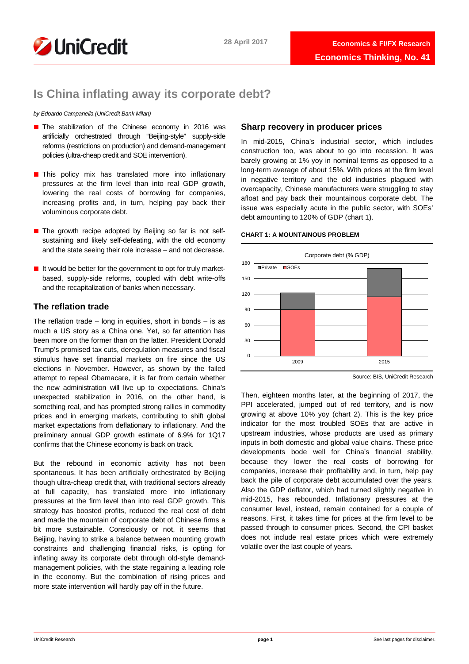

# **Is China inflating away its corporate debt?**

*by Edoardo Campanella (UniCredit Bank Milan)* 

- The stabilization of the Chinese economy in 2016 was artificially orchestrated through "Beijing-style" supply-side reforms (restrictions on production) and demand-management policies (ultra-cheap credit and SOE intervention).
- This policy mix has translated more into inflationary pressures at the firm level than into real GDP growth, lowering the real costs of borrowing for companies, increasing profits and, in turn, helping pay back their voluminous corporate debt.
- The growth recipe adopted by Beijing so far is not selfsustaining and likely self-defeating, with the old economy and the state seeing their role increase – and not decrease.
- It would be better for the government to opt for truly marketbased, supply-side reforms, coupled with debt write-offs and the recapitalization of banks when necessary.

# **The reflation trade**

The reflation trade – long in equities, short in bonds – is as much a US story as a China one. Yet, so far attention has been more on the former than on the latter. President Donald Trump's promised tax cuts, deregulation measures and fiscal stimulus have set financial markets on fire since the US elections in November. However, as shown by the failed attempt to repeal Obamacare, it is far from certain whether the new administration will live up to expectations. China's unexpected stabilization in 2016, on the other hand, is something real, and has prompted strong rallies in commodity prices and in emerging markets, contributing to shift global market expectations from deflationary to inflationary. And the preliminary annual GDP growth estimate of 6.9% for 1Q17 confirms that the Chinese economy is back on track.

But the rebound in economic activity has not been spontaneous. It has been artificially orchestrated by Beijing though ultra-cheap credit that, with traditional sectors already at full capacity, has translated more into inflationary pressures at the firm level than into real GDP growth. This strategy has boosted profits, reduced the real cost of debt and made the mountain of corporate debt of Chinese firms a bit more sustainable. Consciously or not, it seems that Beijing, having to strike a balance between mounting growth constraints and challenging financial risks, is opting for inflating away its corporate debt through old-style demandmanagement policies, with the state regaining a leading role in the economy. But the combination of rising prices and more state intervention will hardly pay off in the future.

# **Sharp recovery in producer prices**

In mid-2015, China's industrial sector, which includes construction too, was about to go into recession. It was barely growing at 1% yoy in nominal terms as opposed to a long-term average of about 15%. With prices at the firm level in negative territory and the old industries plagued with overcapacity, Chinese manufacturers were struggling to stay afloat and pay back their mountainous corporate debt. The issue was especially acute in the public sector, with SOEs' debt amounting to 120% of GDP (chart 1).

## **CHART 1: A MOUNTAINOUS PROBLEM**



Source: BIS, UniCredit Research

Then, eighteen months later, at the beginning of 2017, the PPI accelerated, jumped out of red territory, and is now growing at above 10% yoy (chart 2). This is the key price indicator for the most troubled SOEs that are active in upstream industries, whose products are used as primary inputs in both domestic and global value chains. These price developments bode well for China's financial stability, because they lower the real costs of borrowing for companies, increase their profitability and, in turn, help pay back the pile of corporate debt accumulated over the years. Also the GDP deflator, which had turned slightly negative in mid-2015, has rebounded. Inflationary pressures at the consumer level, instead, remain contained for a couple of reasons. First, it takes time for prices at the firm level to be passed through to consumer prices. Second, the CPI basket does not include real estate prices which were extremely volatile over the last couple of years.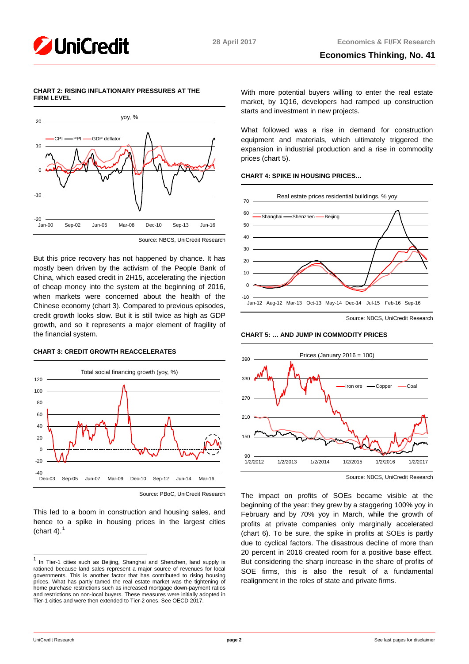## **CHART 2: RISING INFLATIONARY PRESSURES AT THE FIRM LEVEL**



Source: NBCS, UniCredit Research

But this price recovery has not happened by chance. It has mostly been driven by the activism of the People Bank of China, which eased credit in 2H15, accelerating the injection of cheap money into the system at the beginning of 2016, when markets were concerned about the health of the Chinese economy (chart 3). Compared to previous episodes, credit growth looks slow. But it is still twice as high as GDP growth, and so it represents a major element of fragility of the financial system.

# **CHART 3: CREDIT GROWTH REACCELERATES**



Source: PBoC, UniCredit Research

This led to a boom in construction and housing sales, and hence to a spike in housing prices in the largest cities (chart 4). $<sup>1</sup>$  $<sup>1</sup>$  $<sup>1</sup>$ </sup>

With more potential buyers willing to enter the real estate market, by 1Q16, developers had ramped up construction starts and investment in new projects.

What followed was a rise in demand for construction equipment and materials, which ultimately triggered the expansion in industrial production and a rise in commodity prices (chart 5).

## **CHART 4: SPIKE IN HOUSING PRICES…**



Source: NBCS, UniCredit Research

## **CHART 5: … AND JUMP IN COMMODITY PRICES**



Source: NBCS, UniCredit Research

The impact on profits of SOEs became visible at the beginning of the year: they grew by a staggering 100% yoy in February and by 70% yoy in March, while the growth of profits at private companies only marginally accelerated (chart 6). To be sure, the spike in profits at SOEs is partly due to cyclical factors. The disastrous decline of more than 20 percent in 2016 created room for a positive base effect. But considering the sharp increase in the share of profits of SOE firms, this is also the result of a fundamental realignment in the roles of state and private firms.

<span id="page-1-0"></span>**<sup>1</sup>** In Tier-1 cities such as Beijing, Shanghai and Shenzhen, land supply is rationed because land sales represent a major source of revenues for local governments. This is another factor that has contributed to rising housing prices. What has partly tamed the real estate market was the tightening of home purchase restrictions such as increased mortgage down-payment ratios and restrictions on non-local buyers. These measures were initially adopted in Tier-1 cities and were then extended to Tier-2 ones. See OECD 2017.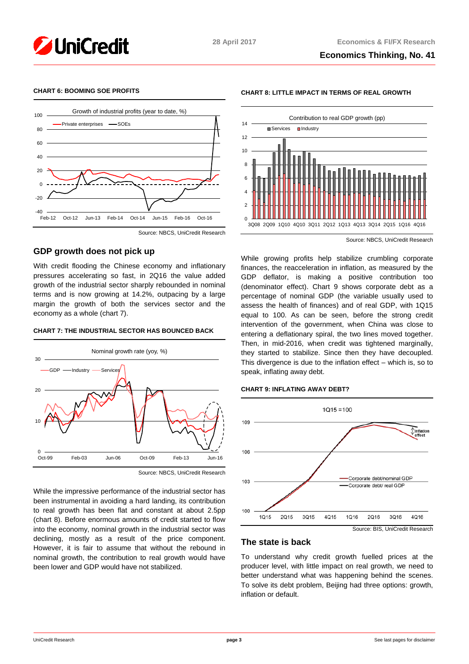

## **CHART 6: BOOMING SOE PROFITS**



## Source: NBCS, UniCredit Research

# **GDP growth does not pick up**

With credit flooding the Chinese economy and inflationary pressures accelerating so fast, in 2Q16 the value added growth of the industrial sector sharply rebounded in nominal terms and is now growing at 14.2%, outpacing by a large margin the growth of both the services sector and the economy as a whole (chart 7).

### **CHART 7: THE INDUSTRIAL SECTOR HAS BOUNCED BACK**



Source: NBCS, UniCredit Research

While the impressive performance of the industrial sector has been instrumental in avoiding a hard landing, its contribution to real growth has been flat and constant at about 2.5pp (chart 8). Before enormous amounts of credit started to flow into the economy, nominal growth in the industrial sector was declining, mostly as a result of the price component. However, it is fair to assume that without the rebound in nominal growth, the contribution to real growth would have been lower and GDP would have not stabilized.



**CHART 8: LITTLE IMPACT IN TERMS OF REAL GROWTH**

Source: NBCS, UniCredit Research

While growing profits help stabilize crumbling corporate finances, the reacceleration in inflation, as measured by the GDP deflator, is making a positive contribution too (denominator effect). Chart 9 shows corporate debt as a percentage of nominal GDP (the variable usually used to assess the health of finances) and of real GDP, with 1Q15 equal to 100. As can be seen, before the strong credit intervention of the government, when China was close to entering a deflationary spiral, the two lines moved together. Then, in mid-2016, when credit was tightened marginally, they started to stabilize. Since then they have decoupled. This divergence is due to the inflation effect – which is, so to speak, inflating away debt.

### **CHART 9: INFLATING AWAY DEBT?**



## **The state is back**

To understand why credit growth fuelled prices at the producer level, with little impact on real growth, we need to better understand what was happening behind the scenes. To solve its debt problem, Beijing had three options: growth, inflation or default.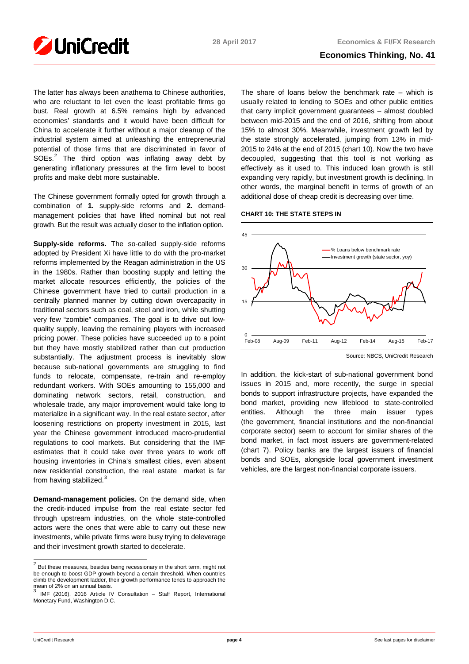

The latter has always been anathema to Chinese authorities, who are reluctant to let even the least profitable firms go bust. Real growth at 6.5% remains high by advanced economies' standards and it would have been difficult for China to accelerate it further without a major cleanup of the industrial system aimed at unleashing the entrepreneurial potential of those firms that are discriminated in favor of  $SOEs<sup>2</sup>$  $SOEs<sup>2</sup>$  $SOEs<sup>2</sup>$  The third option was inflating away debt by generating inflationary pressures at the firm level to boost profits and make debt more sustainable.

The Chinese government formally opted for growth through a combination of **1.** supply-side reforms and **2.** demandmanagement policies that have lifted nominal but not real growth. But the result was actually closer to the inflation option.

**Supply-side reforms.** The so-called supply-side reforms adopted by President Xi have little to do with the pro-market reforms implemented by the Reagan administration in the US in the 1980s. Rather than boosting supply and letting the market allocate resources efficiently, the policies of the Chinese government have tried to curtail production in a centrally planned manner by cutting down overcapacity in traditional sectors such as coal, steel and iron, while shutting very few "zombie" companies. The goal is to drive out lowquality supply, leaving the remaining players with increased pricing power. These policies have succeeded up to a point but they have mostly stabilized rather than cut production substantially. The adjustment process is inevitably slow because sub-national governments are struggling to find funds to relocate, compensate, re-train and re-employ redundant workers. With SOEs amounting to 155,000 and dominating network sectors, retail, construction, and wholesale trade, any major improvement would take long to materialize in a significant way. In the real estate sector, after loosening restrictions on property investment in 2015, last year the Chinese government introduced macro-prudential regulations to cool markets. But considering that the IMF estimates that it could take over three years to work off housing inventories in China's smallest cities, even absent new residential construction, the real estate market is far from having stabilized.<sup>[3](#page-3-1)</sup>

**Demand-management policies.** On the demand side, when the credit-induced impulse from the real estate sector fed through upstream industries, on the whole state-controlled actors were the ones that were able to carry out these new investments, while private firms were busy trying to deleverage and their investment growth started to decelerate.

The share of loans below the benchmark rate – which is usually related to lending to SOEs and other public entities that carry implicit government guarantees – almost doubled between mid-2015 and the end of 2016, shifting from about 15% to almost 30%. Meanwhile, investment growth led by the state strongly accelerated, jumping from 13% in mid-2015 to 24% at the end of 2015 (chart 10). Now the two have decoupled, suggesting that this tool is not working as effectively as it used to. This induced loan growth is still expanding very rapidly, but investment growth is declining. In other words, the marginal benefit in terms of growth of an additional dose of cheap credit is decreasing over time.





Source: NBCS, UniCredit Research

In addition, the kick-start of sub-national government bond issues in 2015 and, more recently, the surge in special bonds to support infrastructure projects, have expanded the bond market, providing new lifeblood to state-controlled entities. Although the three main issuer types (the government, financial institutions and the non-financial corporate sector) seem to account for similar shares of the bond market, in fact most issuers are government-related (chart 7). Policy banks are the largest issuers of financial bonds and SOEs, alongside local government investment vehicles, are the largest non-financial corporate issuers.

<span id="page-3-0"></span><sup>&</sup>lt;sup>2</sup> But these measures, besides being recessionary in the short term, might not be enough to boost GDP growth beyond a certain threshold. When countries climb the development ladder, their growth performance tends to approach the mean of 2% on an annual basis.

<span id="page-3-1"></span>IMF (2016), 2016 Article IV Consultation – Staff Report, International Monetary Fund, Washington D.C.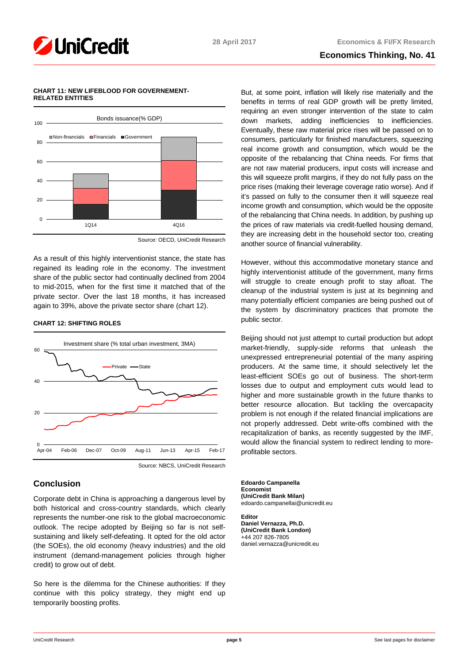

# **Economics Thinking, No. 41**

## **CHART 11: NEW LIFEBLOOD FOR GOVERNEMENT-RELATED ENTITIES**



Source: OECD, UniCredit Research

As a result of this highly interventionist stance, the state has regained its leading role in the economy. The investment share of the public sector had continually declined from 2004 to mid-2015, when for the first time it matched that of the private sector. Over the last 18 months, it has increased again to 39%, above the private sector share (chart 12).

# **CHART 12: SHIFTING ROLES**



Source: NBCS, UniCredit Research

# **Conclusion**

Corporate debt in China is approaching a dangerous level by both historical and cross-country standards, which clearly represents the number-one risk to the global macroeconomic outlook. The recipe adopted by Beijing so far is not selfsustaining and likely self-defeating. It opted for the old actor (the SOEs), the old economy (heavy industries) and the old instrument (demand-management policies through higher credit) to grow out of debt.

So here is the dilemma for the Chinese authorities: If they continue with this policy strategy, they might end up temporarily boosting profits.

But, at some point, inflation will likely rise materially and the benefits in terms of real GDP growth will be pretty limited, requiring an even stronger intervention of the state to calm down markets, adding inefficiencies to inefficiencies. Eventually, these raw material price rises will be passed on to consumers, particularly for finished manufacturers, squeezing real income growth and consumption, which would be the opposite of the rebalancing that China needs. For firms that are not raw material producers, input costs will increase and this will squeeze profit margins, if they do not fully pass on the price rises (making their leverage coverage ratio worse). And if it's passed on fully to the consumer then it will squeeze real income growth and consumption, which would be the opposite of the rebalancing that China needs. In addition, by pushing up the prices of raw materials via credit-fuelled housing demand, they are increasing debt in the household sector too, creating another source of financial vulnerability.

However, without this accommodative monetary stance and highly interventionist attitude of the government, many firms will struggle to create enough profit to stay afloat. The cleanup of the industrial system is just at its beginning and many potentially efficient companies are being pushed out of the system by discriminatory practices that promote the public sector.

Beijing should not just attempt to curtail production but adopt market-friendly, supply-side reforms that unleash the unexpressed entrepreneurial potential of the many aspiring producers. At the same time, it should selectively let the least-efficient SOEs go out of business. The short-term losses due to output and employment cuts would lead to higher and more sustainable growth in the future thanks to better resource allocation. But tackling the overcapacity problem is not enough if the related financial implications are not properly addressed. Debt write-offs combined with the recapitalization of banks, as recently suggested by the IMF, would allow the financial system to redirect lending to moreprofitable sectors.

**Edoardo Campanella Economist (UniCredit Bank Milan)** edoardo.campanellai@unicredit.eu

**Editor Daniel Vernazza, Ph.D. (UniCredit Bank London)** +44 207 826-7805 daniel.vernazza@unicredit.eu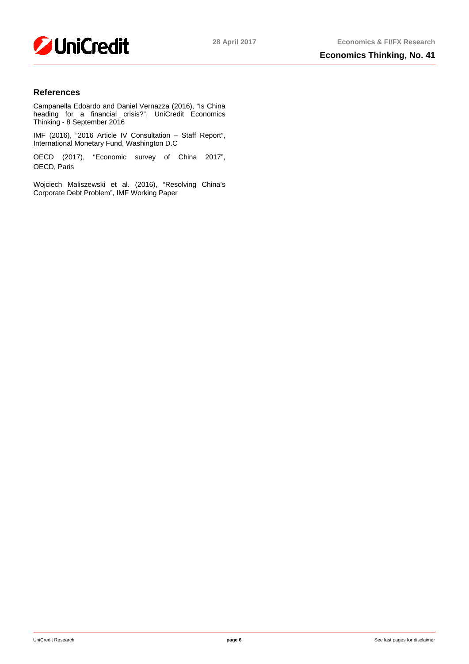

# **References**

Campanella Edoardo and Daniel Vernazza (2016), "Is China heading for a financial crisis?", UniCredit Economics Thinking - 8 September 2016

IMF (2016), "2016 Article IV Consultation – Staff Report", International Monetary Fund, Washington D.C

OECD (2017), "Economic survey of China 2017", OECD, Paris

Wojciech Maliszewski et al. (2016), "Resolving China's Corporate Debt Problem", IMF Working Paper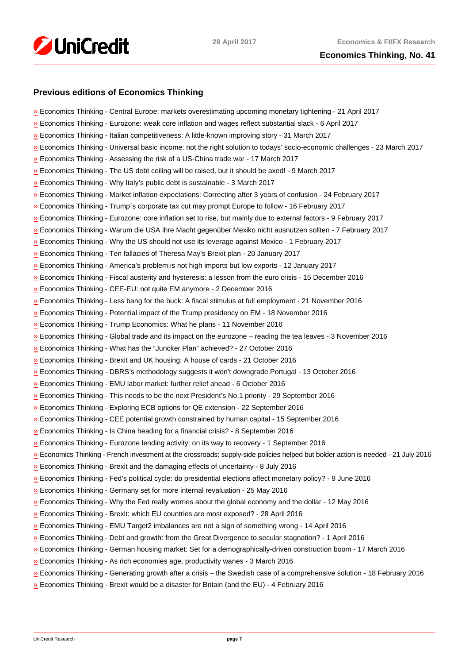

# **Previous editions of Economics Thinking**

| » Economics Thinking - Central Europe: markets overestimating upcoming monetary tightening - 21 April 2017                       |
|----------------------------------------------------------------------------------------------------------------------------------|
| Economics Thinking - Eurozone: weak core inflation and wages reflect substantial slack - 6 April 2017                            |
| » Economics Thinking - Italian competitiveness: A little-known improving story - 31 March 2017                                   |
| Economics Thinking - Universal basic income: not the right solution to todays' socio-economic challenges - 23 March 2017         |
| » Economics Thinking - Assessing the risk of a US-China trade war - 17 March 2017                                                |
| » Economics Thinking - The US debt ceiling will be raised, but it should be axed! - 9 March 2017                                 |
| <b>»</b> Economics Thinking - Why Italy's public debt is sustainable - 3 March 2017                                              |
| » Economics Thinking - Market inflation expectations: Correcting after 3 years of confusion - 24 February 2017                   |
| » Economics Thinking - Trump's corporate tax cut may prompt Europe to follow - 16 February 2017                                  |
| Economics Thinking - Eurozone: core inflation set to rise, but mainly due to external factors - 9 February 2017                  |
| Economics Thinking - Warum die USA ihre Macht gegenüber Mexiko nicht ausnutzen sollten - 7 February 2017                         |
| $\frac{N}{2}$ Economics Thinking - Why the US should not use its leverage against Mexico - 1 February 2017                       |
| » Economics Thinking - Ten fallacies of Theresa May's Brexit plan - 20 January 2017                                              |
| <b>»</b> Economics Thinking - America's problem is not high imports but low exports - 12 January 2017                            |
| Economics Thinking - Fiscal austerity and hysteresis: a lesson from the euro crisis - 15 December 2016                           |
| Economics Thinking - CEE-EU: not quite EM anymore - 2 December 2016                                                              |
| $v$ Economics Thinking - Less bang for the buck: A fiscal stimulus at full employment - 21 November 2016                         |
| Economics Thinking - Potential impact of the Trump presidency on EM - 18 November 2016                                           |
| Economics Thinking - Trump Economics: What he plans - 11 November 2016                                                           |
| $\frac{y}{x}$ Economics Thinking - Global trade and its impact on the eurozone – reading the tea leaves - 3 November 2016        |
| >> Economics Thinking - What has the "Juncker Plan" achieved? - 27 October 2016                                                  |
| >> Economics Thinking - Brexit and UK housing: A house of cards - 21 October 2016                                                |
| Economics Thinking - DBRS's methodology suggests it won't downgrade Portugal - 13 October 2016                                   |
| Economics Thinking - EMU labor market: further relief ahead - 6 October 2016                                                     |
| <b>Example 2016</b> Economics Thinking - This needs to be the next President's No.1 priority - 29 September 2016                 |
| <b>»</b> Economics Thinking - Exploring ECB options for QE extension - 22 September 2016                                         |
| $\frac{N}{2}$ Economics Thinking - CEE potential growth constrained by human capital - 15 September 2016                         |
| Economics Thinking - Is China heading for a financial crisis? - 8 September 2016                                                 |
| » Economics Thinking - Eurozone lending activity: on its way to recovery - 1 September 2016                                      |
| Economics Thinking - French investment at the crossroads: supply-side policies helped but bolder action is needed - 21 July 2016 |
| » Economics Thinking - Brexit and the damaging effects of uncertainty - 8 July 2016                                              |
| » Economics Thinking - Fed's political cycle: do presidential elections affect monetary policy? - 9 June 2016                    |
| » Economics Thinking - Germany set for more internal revaluation - 25 May 2016                                                   |
| » Economics Thinking - Why the Fed really worries about the global economy and the dollar - 12 May 2016                          |
| » Economics Thinking - Brexit: which EU countries are most exposed? - 28 April 2016                                              |
| » Economics Thinking - EMU Target2 imbalances are not a sign of something wrong - 14 April 2016                                  |
| » Economics Thinking - Debt and growth: from the Great Divergence to secular stagnation? - 1 April 2016                          |
| Economics Thinking - German housing market: Set for a demographically-driven construction boom - 17 March 2016                   |
| » Economics Thinking - As rich economies age, productivity wanes - 3 March 2016                                                  |
| Economics Thinking - Generating growth after a crisis – the Swedish case of a comprehensive solution - 18 February 2016          |
| $\frac{N}{2}$ Economics Thinking - Brexit would be a disaster for Britain (and the EU) - 4 February 2016                         |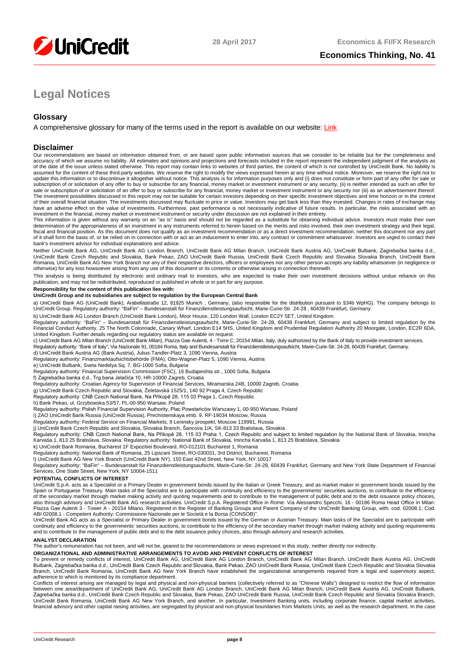

# **Legal Notices**

# **Glossary**

A comprehensive glossary for many of the terms used in the report is available on our website: [Link](https://www.research.unicredit.eu/DocsKey/equitywesterneuropean_docs_1999_151258.ashx?EXT=pdf&KEY=By8-CMheY8S44D31UY0JPFj1GhliWWGozXWk7sYavnI5oaWy5k91lbN2oJ-aOpAb&T=1)

## **Disclaimer**

Our recommendations are based on information obtained from, or are based upon public information sources that we consider to be reliable but for the completeness and accuracy of which we assume no liability. All estimates and opinions and projections and forecasts included in the report represent the independent judgment of the analysts as<br>of the date of the issue unless stated otherwi assumed for the content of these third-party websites. We reserve the right to modify the views expressed herein at any time without notice. Moreover, we reserve the right not to update this information or to discontinue it altogether without notice. This analysis is for information purposes only and (i) does not constitute or form part of any offer for sale or<br>subscription of or solicitation of an The investment possibilities discussed in this report may not be suitable for certain investors depending on their specific investment objectives and time horizon or in the context<br>of their overall financial situation. The

investment in the financial, money market or investment instrument or security under discussion are not explained in their entirety.<br>This information is given without any warranty on an "as is" basis and should not be rega fiscal and financial position. As this document does not qualify as an investment recommendation or as a direct investment recommendation, neither this document nor any part of it shall form the basis of, or be relied on in connection with or act as an inducement to enter into, any contract or commitment whatsoever. Investors are urged to contact their bank's investment advisor for individual explanations and advice.

Neither UniCredit Bank AG, UniCredit Bank AG London Branch, UniCredit Bank AG Milan Branch, UniCredit Bank Austria AG, UniCredit Bulbank, Zagrebačka banka d.d., UniCredit Bank Czech Republic and Slovakia, Bank Pekao, ZAO UniCredit Bank Russia, UniCredit Bank Czech Republic and Slovakia Slovakia Branch, UniCredit Bank Romania, UniCredit Bank AG New York Branch nor any of their respective directors, officers or employees nor any other person accepts any liability whatsoever (in negligence or otherwise) for any loss howsoever arising from any use of this document or its contents or otherwise arising in connection therewith.

This analysis is being distributed by electronic and ordinary mail to investors, who are expected to make their own investment decisions without undue reliance on this<br>publication, and may not be redistributed, reproduced

### **Responsibility for the content of this publication lies with:**

#### **UniCredit Group and its subsidiaries are subject to regulation by the European Central Bank**

a) UniCredit Bank AG (UniCredit Bank), Arabellastraße 12, 81925 Munich , Germany, (also responsible for the distribution pursuant to §34b WpHG). The company belongs to<br>UniCredit Group. Regulatory authority: "BaFin" – Bunde

b) UniCredit Bank AG London Branch (UniCredit Bank London), Moor House, 120 London Wall, London EC2Y 5ET, United Kingdom.

Regulatory authority: "BaFin" – Bundesanstalt für Finanzdienstleistungsaufsicht, Marie-Curie-Str. 24-28, 60439 Frankfurt, Germany and subject to limited regulation by the<br>Financial Conduct Authority, 25 The North Colonnade United Kingdom. Further details regarding our regulatory status are available on request.

c) UniCredit Bank AG Milan Branch (UniCredit Bank Milan), Piazza Gae Aulenti, 4 - Torre C, 20154 Milan, Italy, duly authorized by the Bank of Italy to provide investment services.

Regulatory authority: "Bank of Italy", Via Nazionale 91, 00184 Roma, Italy and Bundesanstalt für Finanzdienstleistungsaufsicht, Marie-Curie-Str. 24-28, 60439 Frankfurt, Germany.

d) UniCredit Bank Austria AG (Bank Austria), Julius-Tandler-Platz 3, 1090 Vienna, Austria Regulatory authority: Finanzmarktaufsichtsbehörde (FMA), Otto-Wagner-Platz 5, 1090 Vienna, Austria

e) UniCredit Bulbank, Sveta Nedelya Sq. 7, BG-1000 Sofia, Bulgaria

Regulatory authority: Financial Supervision Commission (FSC), 16 Budapeshta str., 1000 Sofia, Bulgaria

f) Zagrebačka banka d.d., Trg bana Jelačića 10, HR-10000 Zagreb, Croatia

Regulatory authority: Croatian Agency for Supervision of Financial Services, Miramarska 24B, 10000 Zagreb, Croatia<br>g) UniCredit Bank Czech Republic and Slovakia, Želetavská 1525/1, 140 92 Praga 4, Czech Republic

Regulatory authority: CNB Czech National Bank, Na Příkopě 28, 115 03 Praga 1, Czech Republic

h) Bank Pekao, ul. Grzybowska 53/57, PL-00-950 Warsaw, Poland

Regulatory authority: Polish Financial Supervision Authority, Plac Powstańców Warszawy 1, 00-950 Warsaw, Poland

i) ZAO UniCredit Bank Russia (UniCredit Russia), Prechistenskaya emb. 9, RF-19034 Moscow, Russia Regulatory authority: Federal Service on Financial Markets, 9 Leninsky prospekt, Moscow 119991, Russia

j) UniCredit Bank Czech Republic and Slovakia, Slovakia Branch, Sancova 1/A, SK-813 33 Bratislava, Slovakia<br>Regulatory authority: CNB Czech National Bank, Na Příkopě 28, 115 03 Praha 1, Czech Republic and subject to limite Karvaša 1, 813 25 Bratislava, Slovakia. Regulatory authority: National Bank of Slovakia, Imricha Karvaša 1, 813 25 Bratislava, Slovakia

k) UniCredit Bank Romania, Bucharest 1F Expozitiei Boulevard, RO-012101 Bucharest 1, Romania

Regulatory authority: National Bank of Romania, 25 Lipscani Street, RO-030031, 3rd District, Bucharest, Romania

l) UniCredit Bank AG New York Branch (UniCredit Bank NY), 150 East 42nd Street, New York, NY 10017<br>Regulatory authority: "BaFin" – Bundesanstalt für Finanzdienstleistungsaufsicht, Marie-Curie-Str. 24-28, 60439 Frankfurt, G Services, One State Street, New York, NY 10004-1511

### **POTENTIAL CONFLICTS OF INTEREST**

UniCredit S.p.A. acts as a Specialist or a Primary Dealer in government bonds issued by the Italian or Greek Treasury, and as market maker in government bonds issued by the Spain or Portuguese Treasury. Main tasks of the Specialist are to participate with continuity and efficiency to the governments' securities auctions, to contribute to the efficiency of the secondary market through market making activity and quoting requirements and to contribute to the management of public debt and to the debt issuance policy choices,<br>also through advisory and UniCredit Bank AG resear Piazza Gae Aulenti 3 - Tower A - 20154 Milano, Registered in the Register of Banking Groups and Parent Company of the UniCredit Banking Group, with. cod. 02008.1; Cod.<br>ABI 02008.1 - Competent Authority: Commissione Naziona

UniCredit Bank AG acts as a Specialist or Primary Dealer in government bonds issued by the German or Austrian Treasury. Main tasks of the Specialist are to participate with continuity and efficiency to the governments' securities auctions, to contribute to the efficiency of the secondary market through market making activity and quoting requirements and to contribute to the management of public debt and to the debt issuance policy choices, also through advisory and research activities.

### **ANALYST DECLARATION**

The author's remuneration has not been, and will not be, geared to the recommendations or views expressed in this study, neither directly nor indirectly.

**ORGANIZATIONAL AND ADMINISTRATIVE ARRANGEMENTS TO AVOID AND PREVENT CONFLICTS OF INTEREST**

To prevent or remedy conflicts of interest, UniCredit Bank AG, UniCredit Bank AG London Branch, UniCredit Banch, UniCredit Bank Austria AG, UniCredit Bank Austria AG, UniCredit Bank Austria AG, UniCredit Bank Austria AG, U Branch, UniCredit Bank Romania, UniCredit Bank AG New York Branch have established the organizational arrangements required from a legal and supervisory aspect,

adherence to which is monitored by its compliance department.<br>Conflicts of interest arising are managed by legal and physical and non-physical barriers (collectively referred to as "Chinese Walls") designed to restrict the Zagrebačka banka d.d., UniCredit Bank Czech Republic and Slovakia, Bank Pekao, ZAO UniCredit Bank Russia, UniCredit Bank Czech Republic and Slovakia Slovakia Branch, UniCredit Bank Romania, UniCredit Bank AG New York Branch, and another. In particular, Investment Banking units, including corporate finance, capital market activities,<br>financial advisory and other capital raising activiti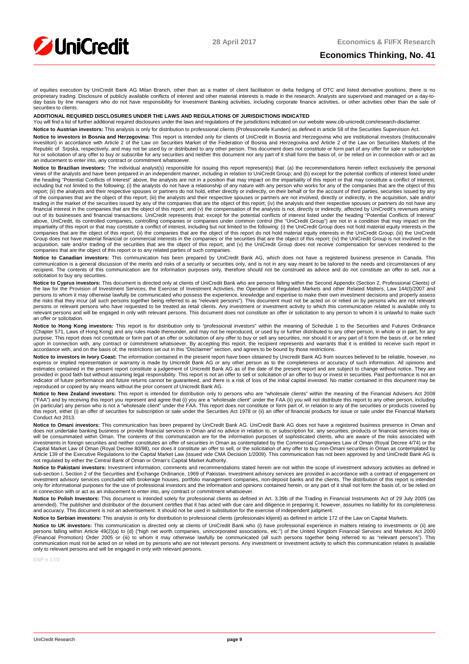

# **Economics Thinking, No. 41**

of equities execution by UniCredit Bank AG Milan Branch, other than as a matter of client facilitation or delta hedging of OTC and listed derivative positions, there is no proprietary trading. Disclosure of publicly available conflicts of interest and other material interests is made in the research. Analysts are supervised and managed on a day-to-<br>day basis by line managers who do not have securities to clients.

#### **ADDITIONAL REQUIRED DISCLOSURES UNDER THE LAWS AND REGULATIONS OF JURISDICTIONS INDICATED**

You will find a list of further additional required disclosures under the laws and regulations of the jurisdictions indicated on our website www.cib-unicredit.com/research-disclaimer.

**Notice to Austrian investors:** This analysis is only for distribution to professional clients (Professionelle Kunden) as defined in article 58 of the Securities Supervision Act.

Notice to investors in Bosnia and Herzegovina: This report is intended only for clients of UniCredit in Bosnia and Herzegovina who are institutional investors (Institucionalni investitori) in accordance with Article 2 of the Law on Securities Market of the Federation of Bosnia and Herzegovina and Article 2 of the Law on Securities Markets of the<br>Republic of Srpska, respectively, and may not be u an inducement to enter into, any contract or commitment whatsoever.

Notice to Brazilian investors: The individual analyst(s) responsible for issuing this report represent(s) that: (a) the recommendations herein reflect exclusively the personal views of the analysts and have been prepared in an independent manner, including in relation to UniCredit Group; and (b) except for the potential conflicts of interest listed under<br>the heading "Potential Conflicts of Inter including but not limited to the following: (i) the analysts do not have a relationship of any nature with any person who works for any of the companies that are the object of this report; (ii) the analysts and their respective spouses or partners do not hold, either directly or indirectly, on their behalf or for the account of third parties, securities issued by any<br>of the companies that are the obj trading in the market of the securities issued by any of the companies that are the object of this report; (iv) the analysts and their respective spouses or partners do not have any financial interest in the companies that are the object of this report; and (v) the compensation of the analysts is not, directly or indirectly, affected by UniCredit's revenues arising<br>out of its businesses and financial above, UniCredit, its controlled companies, controlling companies or companies under common control (the "UniCredit Group") are not in a condition that may impact on the<br>impartiality of this report or that may constitute a Group does not have material financial or commercial interests in the companies or the securities that are the object of this report; (iv) the UniCredit Group is not involved in the Group is not involved in the acquisition, sale and/or trading of the securities that are the object of this report; and (v) the UniCredit Group does not receive compensation for services rendered to the<br>companies that are the object of this report or

**Notice to Canadian investors:** This communication has been prepared by UniCredit Bank AG, which does not have a registered business presence in Canada. This<br>communication is a general discussion of the merits and risks of recipient. The contents of this communication are for information purposes only, therefore should not be construed as advice and do not constitute an offer to sell, nor a solicitation to buy any securities

**Notice to Cyprus investors:** This document is directed only at clients of UniCredit Bank who are persons falling within the Second Appendix (Section 2, Professional Clients) of the law for the Provision of Investment Services, the Exercise of Investment Activities, the Operation of Regulated Markets and other Related Matters, Law 144(I)/2007 and<br>persons to whom it may otherwise lawfully be commun the risks that they incur (all such persons together being referred to as "relevant persons"). This document must not be acted on or relied on by persons who are not relevant persons or relevant persons who have requested to be treated as retail clients. Any investment or investment activity to which this communication related is available only to relevant persons and will be engaged in only with relevant persons. This document does not constitute an offer or solicitation to any person to whom it is unlawful to make such an offer or solicitation

Notice to Hong Kong investors: This report is for distribution only to "professional investors" within the meaning of Schedule 1 to the Securities and Futures Ordinance (Chapter 571, Laws of Hong Kong) and any rules made thereunder, and may not be reproduced, or used by or further distributed to any other person, in whole or in part, for any rules made thereunder, and may not be reproduce purpose. This report does not constitute or form part of an offer or solicitation of any offer to buy or sell any securities, nor should it or any part of it form the basis of, or be relied<br>upon in connection with, any con accordance with, and on the basis of, the restrictions set out in this "Disclaimer" section, and agrees to be bound by those restrictions.

**Notice to investors in Ivory Coast:** The information contained in the present report have been obtained by Unicredit Bank AG from sources believed to be reliable, however, no express or implied representation or warranty is made by Unicredit Bank AG or any other person as to the completeness or accuracy of such information. All opinions and estimates contained in the present report constitute a reproduced or copied by any means without the prior consent of Unicredit Bank AG.

**Notice to New Zealand investors:** This report is intended for distribution only to persons who are "wholesale clients" within the meaning of the Financial Advisers Act 2008 ("FAA") and by receiving this report you represent and agree that (i) you are a "wholesale client" under the FAA (ii) you will not distribute this report to any other person, including<br>(in particular) any person who is not this report, either (i) an offer of securities for subscription or sale under the Securities Act 1978 or (ii) an offer of financial products for issue or sale under the Financial Markets Conduct Act 2013.

**Notice to Omani investors:** This communication has been prepared by UniCredit Bank AG. UniCredit Bank AG does not have a registered business presence in Oman and does not undertake banking business or provide financial services in Oman and no advice in relation to, or subscription for, any securities, products or financial services may or<br>will be consummated within Oman. The conten investments in foreign securities and neither constitutes an offer of securities in Oman as contemplated by the Commercial Companies Law of Oman (Royal Decree 4/74) or the Capital Market Law of Oman (Royal Decree 80/98), nor does it constitute an offer to sell, or the solicitation of any offer to buy non-Omani securities in Oman as contemplated by<br>Article 139 of the Executive Regulations to not regulated by either the Central Bank of Oman or Oman's Capital Market Authority.

Notice to Pakistani investors: Investment information, comments and recommendations stated herein are not within the scope of investment advisory activities as defined in sub-section I, Section 2 of the Securities and Exchange Ordinance, 1969 of Pakistan. Investment advisory services are provided in accordance with a contract of engagement on investment advisory services concluded with brokerage houses, portfolio management companies, non-deposit banks and the clients. The distribution of this report is intended<br>only for informational purposes for the use of pr in connection with or act as an inducement to enter into, any contract or commitment whatsoever.

**Notice to Polish Investors**: This document is intended solely for professional clients as defined in Art. 3.39b of the Trading in Financial Instruments Act of 29 July 2005 (as<br>amended). The publisher and distributor of th and accuracy. This document is not an advertisement. It should not be used in substitution for the exercise of independent judgment.

Notice to Serbian investors: This analysis is only for distribution to professional clients (profesionalni klijenti) as defined in article 172 of the Law on Capital Markets.

**Notice to UK investors:** This communication is directed only at clients of UniCredit Bank who (i) have professional experience in matters relating to investments or (ii) are<br>persons falling within Article 49(2)(a) to (d) (Financial Promotion) Order 2005 or (iii) to whom it may otherwise lawfully be communicated (all such persons together being referred to as "relevant persons"). This communication must not be acted on or relied on by persons who are not relevant persons. Any investment or investment activity to which this communication relates is available<br>only to relevant persons and will be engaged i

ENP e 17/3